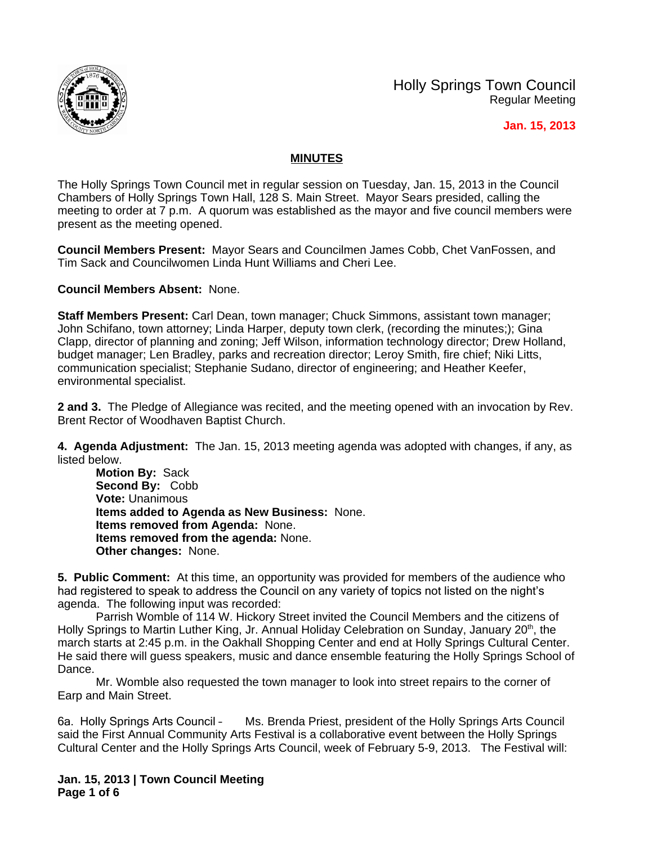

Holly Springs Town Council Regular Meeting

 **Jan. 15, 2013**

## **MINUTES**

The Holly Springs Town Council met in regular session on Tuesday, Jan. 15, 2013 in the Council Chambers of Holly Springs Town Hall, 128 S. Main Street. Mayor Sears presided, calling the meeting to order at 7 p.m. A quorum was established as the mayor and five council members were present as the meeting opened.

**Council Members Present:** Mayor Sears and Councilmen James Cobb, Chet VanFossen, and Tim Sack and Councilwomen Linda Hunt Williams and Cheri Lee.

**Council Members Absent:** None.

**Staff Members Present:** Carl Dean, town manager; Chuck Simmons, assistant town manager; John Schifano, town attorney; Linda Harper, deputy town clerk, (recording the minutes;); Gina Clapp, director of planning and zoning; Jeff Wilson, information technology director; Drew Holland, budget manager; Len Bradley, parks and recreation director; Leroy Smith, fire chief; Niki Litts, communication specialist; Stephanie Sudano, director of engineering; and Heather Keefer, environmental specialist.

**2 and 3.** The Pledge of Allegiance was recited, and the meeting opened with an invocation by Rev. Brent Rector of Woodhaven Baptist Church.

**4. Agenda Adjustment:** The Jan. 15, 2013 meeting agenda was adopted with changes, if any, as listed below.

**Motion By:** Sack **Second By:** Cobb **Vote:** Unanimous **Items added to Agenda as New Business:** None. **Items removed from Agenda:** None. **Items removed from the agenda:** None. **Other changes:** None.

**5. Public Comment:** At this time, an opportunity was provided for members of the audience who had registered to speak to address the Council on any variety of topics not listed on the night's agenda. The following input was recorded:

Parrish Womble of 114 W. Hickory Street invited the Council Members and the citizens of Holly Springs to Martin Luther King, Jr. Annual Holiday Celebration on Sunday, January 20<sup>th</sup>, the march starts at 2:45 p.m. in the Oakhall Shopping Center and end at Holly Springs Cultural Center. He said there will guess speakers, music and dance ensemble featuring the Holly Springs School of Dance.

Mr. Womble also requested the town manager to look into street repairs to the corner of Earp and Main Street.

6a. Holly Springs Arts Council – Ms. Brenda Priest, president of the Holly Springs Arts Council said the First Annual Community Arts Festival is a collaborative event between the Holly Springs Cultural Center and the Holly Springs Arts Council, week of February 5-9, 2013. The Festival will:

**Jan. 15, 2013 | Town Council Meeting Page 1 of 6**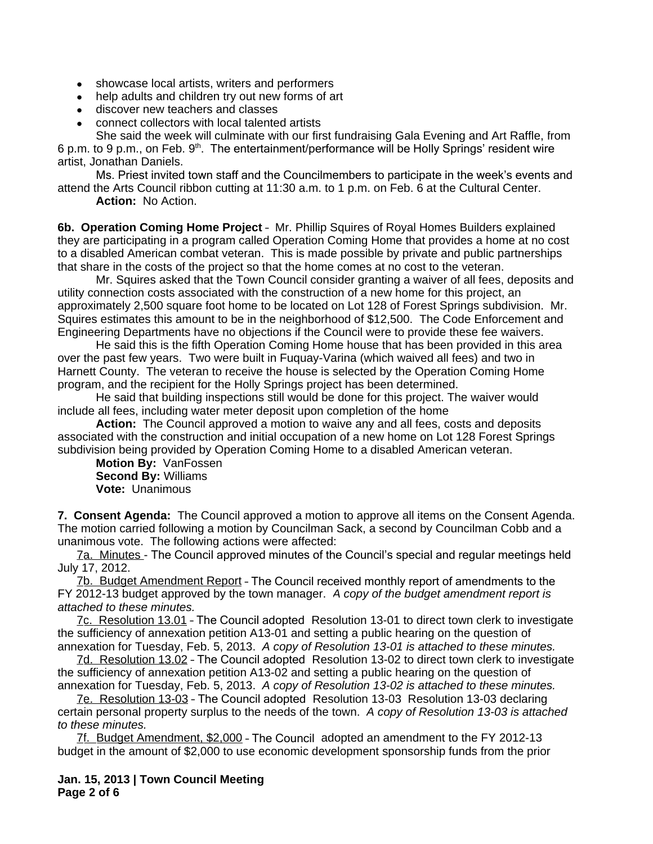- showcase local artists, writers and performers
- help adults and children try out new forms of art
- discover new teachers and classes
- connect collectors with local talented artists

She said the week will culminate with our first fundraising Gala Evening and Art Raffle, from 6 p.m. to 9 p.m., on Feb.  $9<sup>th</sup>$ . The entertainment/performance will be Holly Springs' resident wire artist, Jonathan Daniels.

Ms. Priest invited town staff and the Councilmembers to participate in the week's events and attend the Arts Council ribbon cutting at 11:30 a.m. to 1 p.m. on Feb. 6 at the Cultural Center.

**Action:** No Action.

**6b. Operation Coming Home Project** – Mr. Phillip Squires of Royal Homes Builders explained they are participating in a program called Operation Coming Home that provides a home at no cost to a disabled American combat veteran. This is made possible by private and public partnerships that share in the costs of the project so that the home comes at no cost to the veteran.

Mr. Squires asked that the Town Council consider granting a waiver of all fees, deposits and utility connection costs associated with the construction of a new home for this project, an approximately 2,500 square foot home to be located on Lot 128 of Forest Springs subdivision. Mr. Squires estimates this amount to be in the neighborhood of \$12,500. The Code Enforcement and Engineering Departments have no objections if the Council were to provide these fee waivers.

He said this is the fifth Operation Coming Home house that has been provided in this area over the past few years. Two were built in Fuquay-Varina (which waived all fees) and two in Harnett County. The veteran to receive the house is selected by the Operation Coming Home program, and the recipient for the Holly Springs project has been determined.

He said that building inspections still would be done for this project. The waiver would include all fees, including water meter deposit upon completion of the home

**Action:** The Council approved a motion to waive any and all fees, costs and deposits associated with the construction and initial occupation of a new home on Lot 128 Forest Springs subdivision being provided by Operation Coming Home to a disabled American veteran.

**Motion By:** VanFossen **Second By:** Williams **Vote:** Unanimous

**7. Consent Agenda:** The Council approved a motion to approve all items on the Consent Agenda. The motion carried following a motion by Councilman Sack, a second by Councilman Cobb and a unanimous vote. The following actions were affected:

7a. Minutes - The Council approved minutes of the Council's special and regular meetings held July 17, 2012.

7b. Budget Amendment Report – The Council received monthly report of amendments to the FY 2012-13 budget approved by the town manager. *A copy of the budget amendment report is attached to these minutes.*

7c. Resolution 13.01 – The Council adopted Resolution 13-01 to direct town clerk to investigate the sufficiency of annexation petition A13-01 and setting a public hearing on the question of annexation for Tuesday, Feb. 5, 2013. *A copy of Resolution 13-01 is attached to these minutes.*

7d. Resolution 13.02 – The Council adopted Resolution 13-02 to direct town clerk to investigate the sufficiency of annexation petition A13-02 and setting a public hearing on the question of annexation for Tuesday, Feb. 5, 2013.*A copy of Resolution 13-02 is attached to these minutes.* 

7e. Resolution 13-03 – The Council adopted Resolution 13-03 Resolution 13-03 declaring certain personal property surplus to the needs of the town.*A copy of Resolution 13-03 is attached to these minutes.*

7f. Budget Amendment, \$2,000 – The Council adopted an amendment to the FY 2012-13 budget in the amount of \$2,000 to use economic development sponsorship funds from the prior

**Jan. 15, 2013 | Town Council Meeting Page 2 of 6**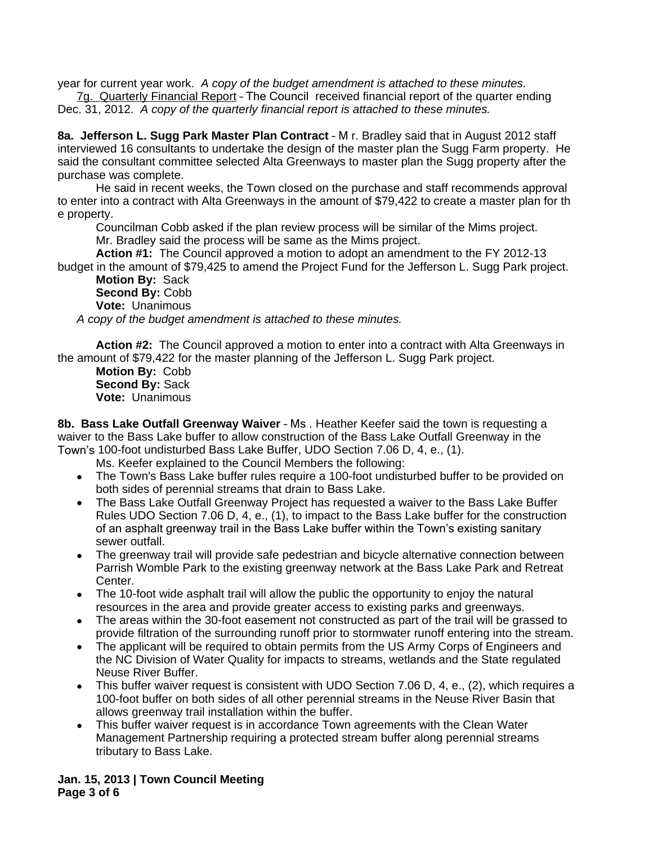year for current year work. *A copy of the budget amendment is attached to these minutes.*

7g. Quarterly Financial Report – The Council received financial report of the quarter ending Dec. 31, 2012. *A copy of the quarterly financial report is attached to these minutes.*

**8a. Jefferson L. Sugg Park Master Plan Contract** – M r. Bradley said that in August 2012 staff interviewed 16 consultants to undertake the design of the master plan the Sugg Farm property. He said the consultant committee selected Alta Greenways to master plan the Sugg property after the purchase was complete.

He said in recent weeks, the Town closed on the purchase and staff recommends approval to enter into a contract with Alta Greenways in the amount of \$79,422 to create a master plan for th e property.

Councilman Cobb asked if the plan review process will be similar of the Mims project. Mr. Bradley said the process will be same as the Mims project.

**Action #1:** The Council approved a motion to adopt an amendment to the FY 2012-13 budget in the amount of \$79,425 to amend the Project Fund for the Jefferson L. Sugg Park project.

**Motion By:** Sack **Second By:** Cobb **Vote:** Unanimous

*A copy of the budget amendment is attached to these minutes.*

**Action #2:** The Council approved a motion to enter into a contract with Alta Greenways in the amount of \$79,422 for the master planning of the Jefferson L. Sugg Park project.

**Motion By:** Cobb **Second By:** Sack **Vote:** Unanimous

**8b. Bass Lake Outfall Greenway Waiver** – Ms . Heather Keefer said the town is requesting a waiver to the Bass Lake buffer to allow construction of the Bass Lake Outfall Greenway in the Town's 100-foot undisturbed Bass Lake Buffer, UDO Section 7.06 D, 4, e., (1).

Ms. Keefer explained to the Council Members the following:

- The Town's Bass Lake buffer rules require a 100-foot undisturbed buffer to be provided on both sides of perennial streams that drain to Bass Lake.
- The Bass Lake Outfall Greenway Project has requested a waiver to the Bass Lake Buffer Rules UDO Section 7.06 D, 4, e., (1), to impact to the Bass Lake buffer for the construction of an asphalt greenway trail in the Bass Lake buffer within the Town's existing sanitary sewer outfall.
- The greenway trail will provide safe pedestrian and bicycle alternative connection between Parrish Womble Park to the existing greenway network at the Bass Lake Park and Retreat Center.
- The 10-foot wide asphalt trail will allow the public the opportunity to enjoy the natural resources in the area and provide greater access to existing parks and greenways.
- The areas within the 30-foot easement not constructed as part of the trail will be grassed to provide filtration of the surrounding runoff prior to stormwater runoff entering into the stream.
- The applicant will be required to obtain permits from the US Army Corps of Engineers and the NC Division of Water Quality for impacts to streams, wetlands and the State regulated Neuse River Buffer.
- This buffer waiver request is consistent with UDO Section 7.06 D, 4, e., (2), which requires a 100-foot buffer on both sides of all other perennial streams in the Neuse River Basin that allows greenway trail installation within the buffer.
- This buffer waiver request is in accordance Town agreements with the Clean Water Management Partnership requiring a protected stream buffer along perennial streams tributary to Bass Lake.

**Jan. 15, 2013 | Town Council Meeting Page 3 of 6**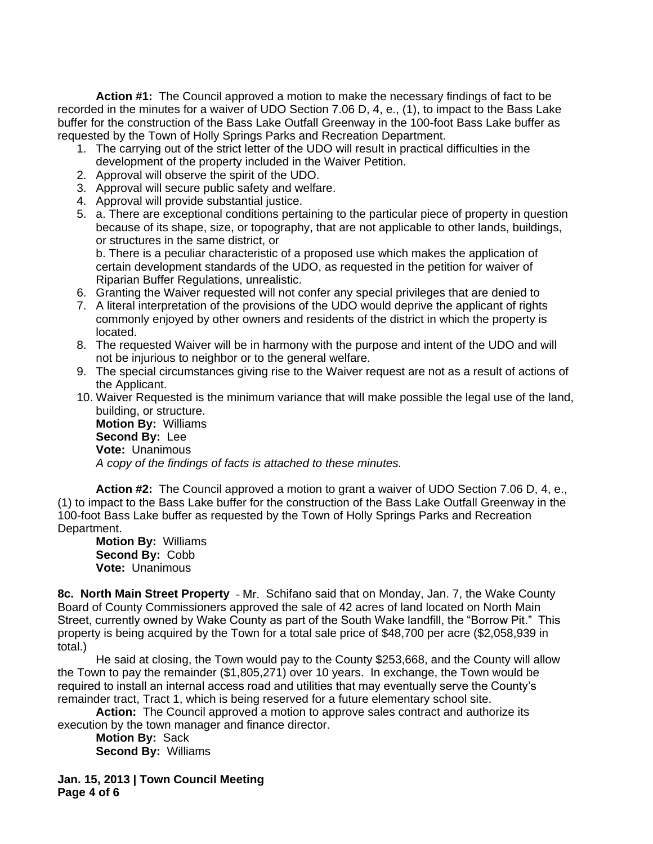**Action #1:** The Council approved a motion to make the necessary findings of fact to be recorded in the minutes for a waiver of UDO Section 7.06 D, 4, e., (1), to impact to the Bass Lake buffer for the construction of the Bass Lake Outfall Greenway in the 100-foot Bass Lake buffer as requested by the Town of Holly Springs Parks and Recreation Department.

- 1. The carrying out of the strict letter of the UDO will result in practical difficulties in the development of the property included in the Waiver Petition.
- 2. Approval will observe the spirit of the UDO.
- 3. Approval will secure public safety and welfare.
- 4. Approval will provide substantial justice.
- 5. a. There are exceptional conditions pertaining to the particular piece of property in question because of its shape, size, or topography, that are not applicable to other lands, buildings, or structures in the same district, or

b. There is a peculiar characteristic of a proposed use which makes the application of certain development standards of the UDO, as requested in the petition for waiver of Riparian Buffer Regulations, unrealistic.

- 6. Granting the Waiver requested will not confer any special privileges that are denied to
- 7. A literal interpretation of the provisions of the UDO would deprive the applicant of rights commonly enjoyed by other owners and residents of the district in which the property is located.
- 8. The requested Waiver will be in harmony with the purpose and intent of the UDO and will not be injurious to neighbor or to the general welfare.
- 9. The special circumstances giving rise to the Waiver request are not as a result of actions of the Applicant.
- 10. Waiver Requested is the minimum variance that will make possible the legal use of the land, building, or structure.

**Motion By:** Williams **Second By:** Lee **Vote:** Unanimous *A copy of the findings of facts is attached to these minutes.*

**Action #2:** The Council approved a motion to grant a waiver of UDO Section 7.06 D, 4, e., (1) to impact to the Bass Lake buffer for the construction of the Bass Lake Outfall Greenway in the 100-foot Bass Lake buffer as requested by the Town of Holly Springs Parks and Recreation Department.

**Motion By:** Williams **Second By:** Cobb **Vote:** Unanimous

**8c. North Main Street Property** – Mr. Schifano said that on Monday, Jan. 7, the Wake County Board of County Commissioners approved the sale of 42 acres of land located on North Main Street, currently owned by Wake County as part of the South Wake landfill, the "Borrow Pit." This property is being acquired by the Town for a total sale price of \$48,700 per acre (\$2,058,939 in total.)

He said at closing, the Town would pay to the County \$253,668, and the County will allow the Town to pay the remainder (\$1,805,271) over 10 years. In exchange, the Town would be required to install an internal access road and utilities that may eventually serve the County's remainder tract, Tract 1, which is being reserved for a future elementary school site.

**Action:** The Council approved a motion to approve sales contract and authorize its execution by the town manager and finance director.

**Motion By:** Sack **Second By:** Williams

**Jan. 15, 2013 | Town Council Meeting Page 4 of 6**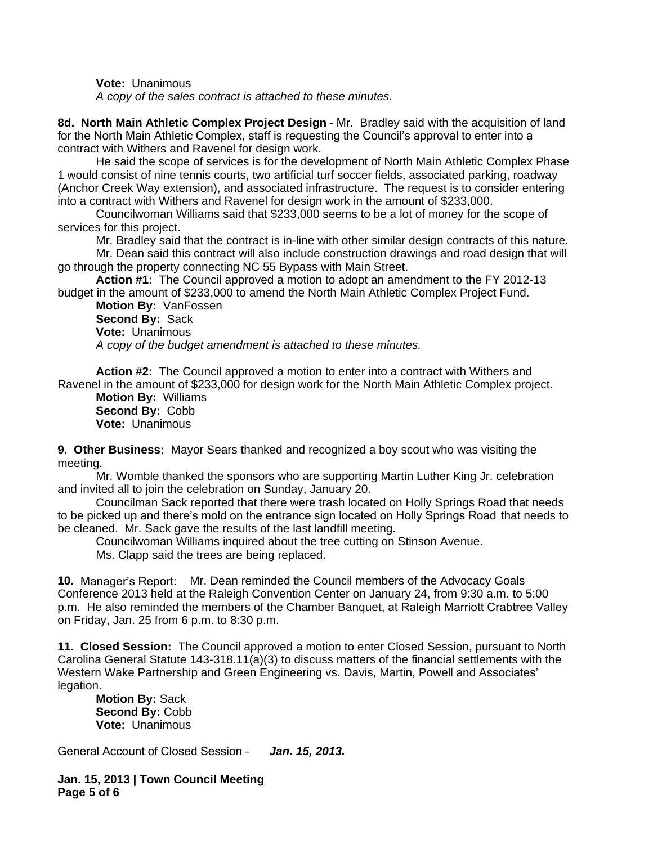**Vote:** Unanimous

*A copy of the sales contract is attached to these minutes.*

**8d. North Main Athletic Complex Project Design** – Mr. Bradley said with the acquisition of land for the North Main Athletic Complex, staff is requesting the Council's approval to enter into a contract with Withers and Ravenel for design work.

He said the scope of services is for the development of North Main Athletic Complex Phase 1 would consist of nine tennis courts, two artificial turf soccer fields, associated parking, roadway (Anchor Creek Way extension), and associated infrastructure. The request is to consider entering into a contract with Withers and Ravenel for design work in the amount of \$233,000.

Councilwoman Williams said that \$233,000 seems to be a lot of money for the scope of services for this project.

Mr. Bradley said that the contract is in-line with other similar design contracts of this nature.

Mr. Dean said this contract will also include construction drawings and road design that will go through the property connecting NC 55 Bypass with Main Street.

**Action #1:** The Council approved a motion to adopt an amendment to the FY 2012-13 budget in the amount of \$233,000 to amend the North Main Athletic Complex Project Fund.

**Motion By:** VanFossen **Second By:** Sack **Vote:** Unanimous *A copy of the budget amendment is attached to these minutes.*

**Action #2:** The Council approved a motion to enter into a contract with Withers and Ravenel in the amount of \$233,000 for design work for the North Main Athletic Complex project.

**Motion By:** Williams **Second By:** Cobb **Vote:** Unanimous

**9. Other Business:** Mayor Sears thanked and recognized a boy scout who was visiting the meeting.

Mr. Womble thanked the sponsors who are supporting Martin Luther King Jr. celebration and invited all to join the celebration on Sunday, January 20.

Councilman Sack reported that there were trash located on Holly Springs Road that needs to be picked up and there's mold on the entrance sign located on Holly Springs Road that needs to be cleaned. Mr. Sack gave the results of the last landfill meeting.

Councilwoman Williams inquired about the tree cutting on Stinson Avenue.

Ms. Clapp said the trees are being replaced.

**10.** Manager's Report: Mr. Dean reminded the Council members of the Advocacy Goals Conference 2013 held at the Raleigh Convention Center on January 24, from 9:30 a.m. to 5:00 p.m. He also reminded the members of the Chamber Banquet, at Raleigh Marriott Crabtree Valley on Friday, Jan. 25 from 6 p.m. to 8:30 p.m.

**11. Closed Session:** The Council approved a motion to enter Closed Session, pursuant to North Carolina General Statute 143-318.11(a)(3) to discuss matters of the financial settlements with the Western Wake Partnership and Green Engineering vs. Davis, Martin, Powell and Associates' legation.

**Motion By:** Sack **Second By:** Cobb **Vote:** Unanimous

General Account of Closed Session – *Jan. 15, 2013.*

**Jan. 15, 2013 | Town Council Meeting Page 5 of 6**